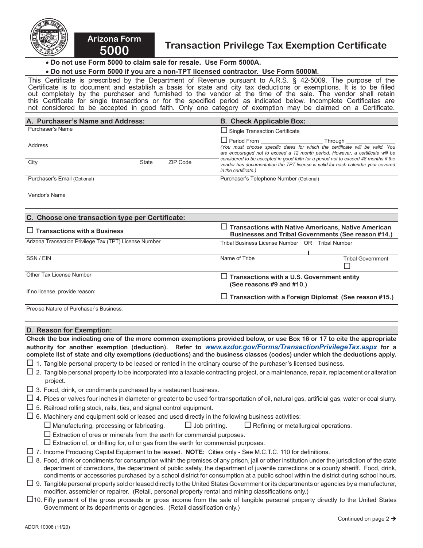

## **5000 Transaction Privilege Tax Exemption Certificate**

 • **Do not use Form 5000 to claim sale for resale. Use Form 5000A.**

**Arizona Form** 

## • **Do not use Form 5000 if you are a non-TPT licensed contractor. Use Form 5000M.**

This Certificate is prescribed by the Department of Revenue pursuant to A.R.S. § 42-5009. The purpose of the Certificate is to document and establish a basis for state and city tax deductions or exemptions. It is to be filled out completely by the purchaser and furnished to the vendor at the time of the sale. The vendor shall retain this Certificate for single transactions or for the specified period as indicated below. Incomplete Certificates are not considered to be accepted in good faith. Only one category of exemption may be claimed on a Certificate.

| A. Purchaser's Name and Address: |              |                 | <b>B. Check Applicable Box:</b>                                                                                                                                                                                                                                                                    |  |
|----------------------------------|--------------|-----------------|----------------------------------------------------------------------------------------------------------------------------------------------------------------------------------------------------------------------------------------------------------------------------------------------------|--|
| Purchaser's Name                 |              |                 | $\Box$ Single Transaction Certificate                                                                                                                                                                                                                                                              |  |
| Address                          |              |                 | $\Box$ Period From $\_\_\_\_\$<br>Through<br>(You must choose specific dates for which the certificate will be valid. You<br>are encouraged not to exceed a 12 month period. However, a certificate will be<br>considered to be accepted in good faith for a period not to exceed 48 months if the |  |
| City                             | <b>State</b> | <b>ZIP Code</b> | vendor has documentation the TPT license is valid for each calendar year covered<br>in the certificate.)                                                                                                                                                                                           |  |
| Purchaser's Email (Optional)     |              |                 | Purchaser's Telephone Number (Optional)                                                                                                                                                                                                                                                            |  |

Vendor's Name

| C. Choose one transaction type per Certificate:        |                                                                                                                   |  |  |  |
|--------------------------------------------------------|-------------------------------------------------------------------------------------------------------------------|--|--|--|
| $\Box$ Transactions with a Business                    | $\Box$ Transactions with Native Americans, Native American<br>Businesses and Tribal Governments (See reason #14.) |  |  |  |
| Arizona Transaction Privilege Tax (TPT) License Number | Tribal Business License Number OR<br>Tribal Number                                                                |  |  |  |
| <b>SSN/EIN</b>                                         | Name of Tribe<br><b>Tribal Government</b>                                                                         |  |  |  |
| Other Tax License Number                               | $\Box$ Transactions with a U.S. Government entity<br>(See reasons $#9$ and $#10$ .)                               |  |  |  |
| If no license, provide reason:                         | $\Box$ Transaction with a Foreign Diplomat (See reason #15.)                                                      |  |  |  |
| Precise Nature of Purchaser's Business.                |                                                                                                                   |  |  |  |

## **D. Reason for Exemption:**

**Check the box indicating one of the more common exemptions provided below, or use Box 16 or 17 to cite the appropriate authority for another exemption (deduction). Refer to** *www.azdor.gov/Forms/TransactionPrivilegeTax.aspx* **for a complete list of state and city exemptions (deductions) and the business classes (codes) under which the deductions apply.** 

- $\Box$  1. Tangible personal property to be leased or rented in the ordinary course of the purchaser's licensed business.
- $\Box$  2. Tangible personal property to be incorporated into a taxable contracting project, or a maintenance, repair, replacement or alteration project.
- $\Box$  3. Food, drink, or condiments purchased by a restaurant business.
- $\Box$  4. Pipes or valves four inches in diameter or greater to be used for transportation of oil, natural gas, artificial gas, water or coal slurry.
- $\square$  5. Railroad rolling stock, rails, ties, and signal control equipment.
- $\square$  6. Machinery and equipment sold or leased and used directly in the following business activities:

 $\Box$  Manufacturing, processing or fabricating.  $\Box$  Job printing.  $\Box$  Refining or metallurgical operations.

- $\square$  Extraction of ores or minerals from the earth for commercial purposes.
- $\square$  Extraction of, or drilling for, oil or gas from the earth for commercial purposes.
- 7. Income Producing Capital Equipment to be leased. **NOTE:** Cities only See M.C.T.C. 110 for definitions.

 $\Box$  8. Food, drink or condiments for consumption within the premises of any prison, jail or other institution under the jurisdiction of the state department of corrections, the department of public safety, the department of juvenile corrections or a county sheriff. Food, drink, condiments or accessories purchased by a school district for consumption at a public school within the district during school hours.

- $\Box$  9. Tangible personal property sold or leased directly to the United States Government or its departments or agencies by a manufacturer, modifier, assembler or repairer. (Retail, personal property rental and mining classifications only.)
- $\Box$ 10. Fifty percent of the gross proceeds or gross income from the sale of tangible personal property directly to the United States Government or its departments or agencies. (Retail classification only.)